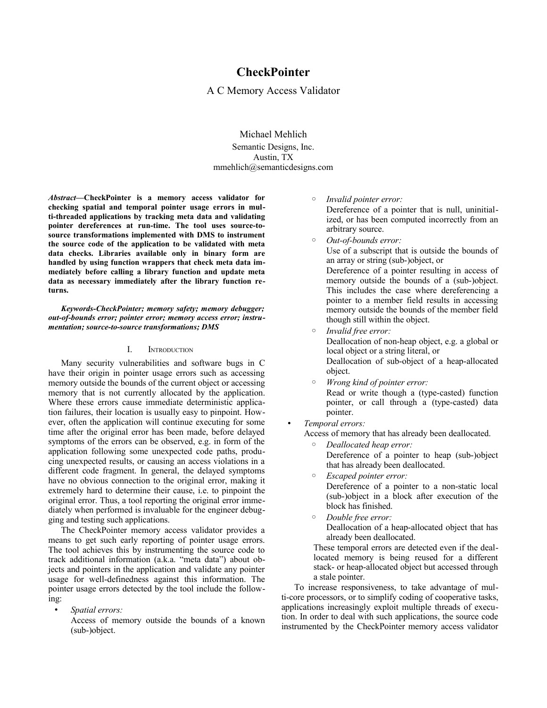# **CheckPointer**

A C Memory Access Validator

Michael Mehlich Semantic Designs, Inc. Austin, TX mmehlich@semanticdesigns.com

*Abstract***—CheckPointer is a memory access validator for checking spatial and temporal pointer usage errors in multi-threaded applications by tracking meta data and validating pointer dereferences at run-time. The tool uses source-tosource transformations implemented with DMS to instrument the source code of the application to be validated with meta data checks. Libraries available only in binary form are handled by using function wrappers that check meta data immediately before calling a library function and update meta data as necessary immediately after the library function returns.**

*Keywords-CheckPointer; memory safety; memory debugger; out-of-bounds error; pointer error; memory access error; instrumentation; source-to-source transformations; DMS*

#### I. INTRODUCTION

Many security vulnerabilities and software bugs in C have their origin in pointer usage errors such as accessing memory outside the bounds of the current object or accessing memory that is not currently allocated by the application. Where these errors cause immediate deterministic application failures, their location is usually easy to pinpoint. However, often the application will continue executing for some time after the original error has been made, before delayed symptoms of the errors can be observed, e.g. in form of the application following some unexpected code paths, producing unexpected results, or causing an access violations in a different code fragment. In general, the delayed symptoms have no obvious connection to the original error, making it extremely hard to determine their cause, i.e. to pinpoint the original error. Thus, a tool reporting the original error immediately when performed is invaluable for the engineer debugging and testing such applications.

The CheckPointer memory access validator provides a means to get such early reporting of pointer usage errors. The tool achieves this by instrumenting the source code to track additional information (a.k.a. "meta data") about objects and pointers in the application and validate any pointer usage for well-definedness against this information. The pointer usage errors detected by the tool include the following:

• *Spatial errors:*

Access of memory outside the bounds of a known (sub-)object.

◦ *Invalid pointer error:*

Dereference of a pointer that is null, uninitialized, or has been computed incorrectly from an arbitrary source.

◦ *Out-of-bounds error:*

Use of a subscript that is outside the bounds of an array or string (sub-)object, or

Dereference of a pointer resulting in access of memory outside the bounds of a (sub-)object. This includes the case where dereferencing a pointer to a member field results in accessing memory outside the bounds of the member field though still within the object.

- *Invalid free error:* Deallocation of non-heap object, e.g. a global or local object or a string literal, or Deallocation of sub-object of a heap-allocated object.
- *Wrong kind of pointer error:* Read or write though a (type-casted) function pointer, or call through a (type-casted) data pointer.
- *Temporal errors:*

Access of memory that has already been deallocated.

- *Deallocated heap error:* Dereference of a pointer to heap (sub-)object that has already been deallocated.
- *Escaped pointer error:* Dereference of a pointer to a non-static local (sub-)object in a block after execution of the block has finished.
- *Double free error:* Deallocation of a heap-allocated object that has already been deallocated.

These temporal errors are detected even if the deallocated memory is being reused for a different stack- or heap-allocated object but accessed through a stale pointer.

To increase responsiveness, to take advantage of multi-core processors, or to simplify coding of cooperative tasks, applications increasingly exploit multiple threads of execution. In order to deal with such applications, the source code instrumented by the CheckPointer memory access validator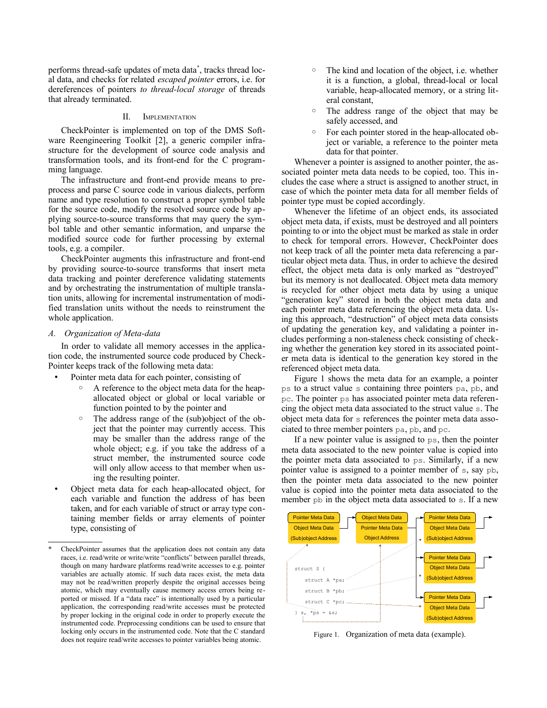performs thread-safe updates of meta data[\\*](#page-1-0) , tracks thread local data, and checks for related *escaped pointer* errors, i.e. for dereferences of pointers *to thread-local storage* of threads that already terminated.

## II. IMPLEMENTATION

CheckPointer is implemented on top of the DMS Software Reengineering Toolkit [\[2\],](#page-7-0) a generic compiler infrastructure for the development of source code analysis and transformation tools, and its front-end for the C programming language.

The infrastructure and front-end provide means to preprocess and parse C source code in various dialects, perform name and type resolution to construct a proper symbol table for the source code, modify the resolved source code by applying source-to-source transforms that may query the symbol table and other semantic information, and unparse the modified source code for further processing by external tools, e.g. a compiler.

CheckPointer augments this infrastructure and front-end by providing source-to-source transforms that insert meta data tracking and pointer dereference validating statements and by orchestrating the instrumentation of multiple translation units, allowing for incremental instrumentation of modified translation units without the needs to reinstrument the whole application.

#### *A. Organization of Meta-data*

In order to validate all memory accesses in the application code, the instrumented source code produced by Check-Pointer keeps track of the following meta data:

- Pointer meta data for each pointer, consisting of
	- A reference to the object meta data for the heapallocated object or global or local variable or function pointed to by the pointer and
	- The address range of the (sub)object of the object that the pointer may currently access. This may be smaller than the address range of the whole object; e.g. if you take the address of a struct member, the instrumented source code will only allow access to that member when using the resulting pointer.
- Object meta data for each heap-allocated object, for each variable and function the address of has been taken, and for each variable of struct or array type containing member fields or array elements of pointer type, consisting of
- The kind and location of the object, i.e. whether it is a function, a global, thread-local or local variable, heap-allocated memory, or a string literal constant,
- The address range of the object that may be safely accessed, and
- For each pointer stored in the heap-allocated object or variable, a reference to the pointer meta data for that pointer.

Whenever a pointer is assigned to another pointer, the associated pointer meta data needs to be copied, too. This includes the case where a struct is assigned to another struct, in case of which the pointer meta data for all member fields of pointer type must be copied accordingly.

Whenever the lifetime of an object ends, its associated object meta data, if exists, must be destroyed and all pointers pointing to or into the object must be marked as stale in order to check for temporal errors. However, CheckPointer does not keep track of all the pointer meta data referencing a particular object meta data. Thus, in order to achieve the desired effect, the object meta data is only marked as "destroyed" but its memory is not deallocated. Object meta data memory is recycled for other object meta data by using a unique "generation key" stored in both the object meta data and each pointer meta data referencing the object meta data. Using this approach, "destruction" of object meta data consists of updating the generation key, and validating a pointer includes performing a non-staleness check consisting of checking whether the generation key stored in its associated pointer meta data is identical to the generation key stored in the referenced object meta data.

Figure 1 shows the meta data for an example, a pointer ps to a struct value s containing three pointers pa, pb, and pc. The pointer ps has associated pointer meta data referencing the object meta data associated to the struct value s. The object meta data for s references the pointer meta data associated to three member pointers pa, pb, and pc.

If a new pointer value is assigned to  $ps$ , then the pointer meta data associated to the new pointer value is copied into the pointer meta data associated to ps. Similarly, if a new pointer value is assigned to a pointer member of s, say pb, then the pointer meta data associated to the new pointer value is copied into the pointer meta data associated to the member pb in the object meta data associated to s. If a new



Figure 1. Organization of meta data (example).

<span id="page-1-0"></span>CheckPointer assumes that the application does not contain any data races, i.e. read/write or write/write "conflicts" between parallel threads, though on many hardware platforms read/write accesses to e.g. pointer variables are actually atomic. If such data races exist, the meta data may not be read/written properly despite the original accesses being atomic, which may eventually cause memory access errors being reported or missed. If a "data race" is intentionally used by a particular application, the corresponding read/write accesses must be protected by proper locking in the original code in order to properly execute the instrumented code. Preprocessing conditions can be used to ensure that locking only occurs in the instrumented code. Note that the C standard does not require read/write accesses to pointer variables being atomic.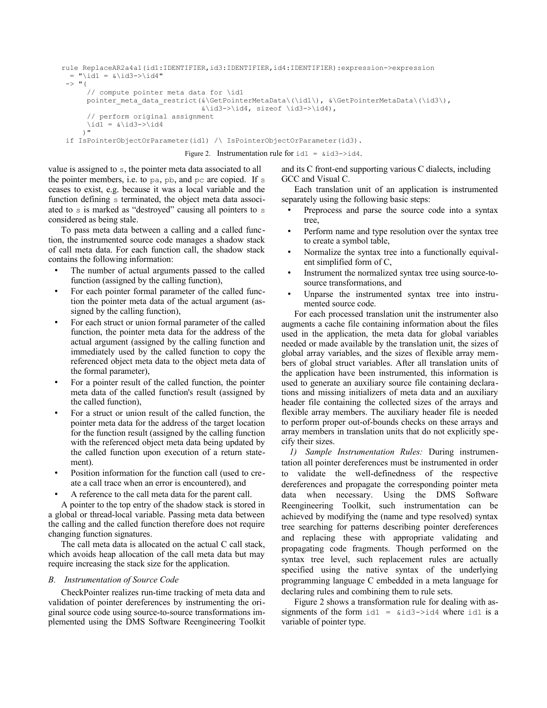```
rule ReplaceAR2a4a1(id1:IDENTIFIER,id3:IDENTIFIER,id4:IDENTIFIER):expression->expression
 = "\id1 = &\id3->\id4"
 \rightarrow "(
       // compute pointer meta data for \id1
      pointer\_meta\_data\_restrict(\&\GetPointerMetaData\(\id1\), \&\GetPointerMetaData\(\id3\), &\id3->\id4, sizeof \id3->\id4), 
       // perform original assignment
      \id1 = \&\id3->\id4 )"
  if IsPointerObjectOrParameter(id1) /\ IsPointerObjectOrParameter(id3).
```
Figure 2. Instrumentation rule for  $id1 = 4id3 - 2id4$ .

value is assigned to s, the pointer meta data associated to all the pointer members, i.e. to pa, pb, and pc are copied. If s ceases to exist, e.g. because it was a local variable and the function defining s terminated, the object meta data associated to s is marked as "destroyed" causing all pointers to s considered as being stale.

To pass meta data between a calling and a called function, the instrumented source code manages a shadow stack of call meta data. For each function call, the shadow stack contains the following information:

- The number of actual arguments passed to the called function (assigned by the calling function),
- For each pointer formal parameter of the called function the pointer meta data of the actual argument (assigned by the calling function),
- For each struct or union formal parameter of the called function, the pointer meta data for the address of the actual argument (assigned by the calling function and immediately used by the called function to copy the referenced object meta data to the object meta data of the formal parameter),
- For a pointer result of the called function, the pointer meta data of the called function's result (assigned by the called function),
- For a struct or union result of the called function, the pointer meta data for the address of the target location for the function result (assigned by the calling function with the referenced object meta data being updated by the called function upon execution of a return statement).
- Position information for the function call (used to create a call trace when an error is encountered), and
- A reference to the call meta data for the parent call.

A pointer to the top entry of the shadow stack is stored in a global or thread-local variable. Passing meta data between the calling and the called function therefore does not require changing function signatures.

The call meta data is allocated on the actual C call stack, which avoids heap allocation of the call meta data but may require increasing the stack size for the application.

# *B. Instrumentation of Source Code*

CheckPointer realizes run-time tracking of meta data and validation of pointer dereferences by instrumenting the original source code using source-to-source transformations implemented using the DMS Software Reengineering Toolkit and its C front-end supporting various C dialects, including GCC and Visual C.

Each translation unit of an application is instrumented separately using the following basic steps:

- Preprocess and parse the source code into a syntax tree,
- Perform name and type resolution over the syntax tree to create a symbol table,
- Normalize the syntax tree into a functionally equivalent simplified form of C,
- Instrument the normalized syntax tree using source-tosource transformations, and
- Unparse the instrumented syntax tree into instrumented source code.

For each processed translation unit the instrumenter also augments a cache file containing information about the files used in the application, the meta data for global variables needed or made available by the translation unit, the sizes of global array variables, and the sizes of flexible array members of global struct variables. After all translation units of the application have been instrumented, this information is used to generate an auxiliary source file containing declarations and missing initializers of meta data and an auxiliary header file containing the collected sizes of the arrays and flexible array members. The auxiliary header file is needed to perform proper out-of-bounds checks on these arrays and array members in translation units that do not explicitly specify their sizes.

*1) Sample Instrumentation Rules:* During instrumentation all pointer dereferences must be instrumented in order to validate the well-definedness of the respective dereferences and propagate the corresponding pointer meta data when necessary. Using the DMS Software Reengineering Toolkit, such instrumentation can be achieved by modifying the (name and type resolved) syntax tree searching for patterns describing pointer dereferences and replacing these with appropriate validating and propagating code fragments. Though performed on the syntax tree level, such replacement rules are actually specified using the native syntax of the underlying programming language C embedded in a meta language for declaring rules and combining them to rule sets.

Figure 2 shows a transformation rule for dealing with assignments of the form  $id1 = 4id3 - 3id4$  where id1 is a variable of pointer type.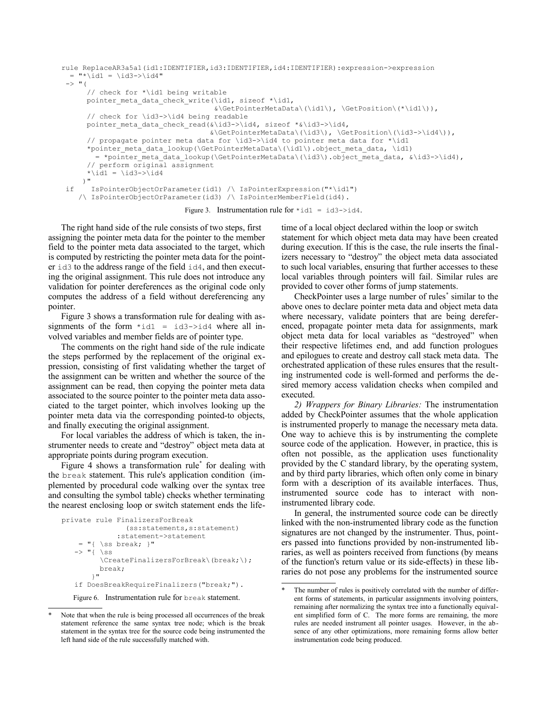```
rule ReplaceAR3a5a1(id1:IDENTIFIER,id3:IDENTIFIER,id4:IDENTIFIER):expression->expression
 = "*\id1 = \id3->\id4"
\rightarrow "(
       // check for *\id1 being writable
      pointer_meta_data_check_write(\id1, sizeof *\id1, 
                                      &\GetPointerMetaData\(\id1\), \GetPosition\(*\id1\)),
       // check for \id3->\id4 being readable
     pointer meta data check read(&\id3->\id4, sizeof *&\id3->\id4,
                                    &\GetPointerMetaData\(\id3\), \GetPosition\(\id3->\id4\)),
       // propagate pointer meta data for \id3->\id4 to pointer meta data for *\id1
      *pointer meta data lookup(\GetPointerMetaData\(\id1\).object meta data, \id1)
        = *pointer meta_data_lookup(\GetPointerMetaData\(\id3\).object_meta_data, &\id3->\id4),
       // perform original assignment
      *\id1 = \id3->\id4
     )"
 if IsPointerObjectOrParameter(id1) /\ IsPointerExpression("*\id1") 
     /\ IsPointerObjectOrParameter(id3) /\ IsPointerMemberField(id4).
```

```
Figure 3. Instrumentation rule for \starid1 = id3->id4.
```
The right hand side of the rule consists of two steps, first assigning the pointer meta data for the pointer to the member field to the pointer meta data associated to the target, which is computed by restricting the pointer meta data for the pointer id3 to the address range of the field id4, and then executing the original assignment. This rule does not introduce any validation for pointer dereferences as the original code only computes the address of a field without dereferencing any pointer.

Figure 3 shows a transformation rule for dealing with assignments of the form  $*id1 = id3 - >id4$  where all involved variables and member fields are of pointer type.

The comments on the right hand side of the rule indicate the steps performed by the replacement of the original expression, consisting of first validating whether the target of the assignment can be written and whether the source of the assignment can be read, then copying the pointer meta data associated to the source pointer to the pointer meta data associated to the target pointer, which involves looking up the pointer meta data via the corresponding pointed-to objects, and finally executing the original assignment.

For local variables the address of which is taken, the instrumenter needs to create and "destroy" object meta data at appropriate points during program execution.

Figure 4 shows a transformation rule<sup>[\\*](#page-3-0)</sup> for dealing with the break statement. This rule's application condition (implemented by procedural code walking over the syntax tree and consulting the symbol table) checks whether terminating the nearest enclosing loop or switch statement ends the life-

```
private rule FinalizersForBreak
                 (ss:statements,s:statement)
               :statement->statement
    = "{ \simeq break;  "\rightarrow "{ \ss
           \CreateFinalizersForBreak\(break;\);
          break;
        }"
    if DoesBreakRequireFinalizers("break;").
```
Figure 6. Instrumentation rule for break statement.

time of a local object declared within the loop or switch statement for which object meta data may have been created during execution. If this is the case, the rule inserts the finalizers necessary to "destroy" the object meta data associated to such local variables, ensuring that further accesses to these local variables through pointers will fail. Similar rules are provided to cover other forms of jump statements.

CheckPointer uses a large number of rules[\\*](#page-3-1) similar to the above ones to declare pointer meta data and object meta data where necessary, validate pointers that are being dereferenced, propagate pointer meta data for assignments, mark object meta data for local variables as "destroyed" when their respective lifetimes end, and add function prologues and epilogues to create and destroy call stack meta data. The orchestrated application of these rules ensures that the resulting instrumented code is well-formed and performs the desired memory access validation checks when compiled and executed.

*2) Wrappers for Binary Libraries:* The instrumentation added by CheckPointer assumes that the whole application is instrumented properly to manage the necessary meta data. One way to achieve this is by instrumenting the complete source code of the application. However, in practice, this is often not possible, as the application uses functionality provided by the C standard library, by the operating system, and by third party libraries, which often only come in binary form with a description of its available interfaces. Thus, instrumented source code has to interact with noninstrumented library code.

In general, the instrumented source code can be directly linked with the non-instrumented library code as the function signatures are not changed by the instrumenter. Thus, pointers passed into functions provided by non-instrumented libraries, as well as pointers received from functions (by means of the function's return value or its side-effects) in these libraries do not pose any problems for the instrumented source

<span id="page-3-0"></span>Note that when the rule is being processed all occurrences of the break statement reference the same syntax tree node; which is the break statement in the syntax tree for the source code being instrumented the left hand side of the rule successfully matched with.

<span id="page-3-1"></span>The number of rules is positively correlated with the number of different forms of statements, in particular assignments involving pointers, remaining after normalizing the syntax tree into a functionally equivalent simplified form of C. The more forms are remaining, the more rules are needed instrument all pointer usages. However, in the absence of any other optimizations, more remaining forms allow better instrumentation code being produced.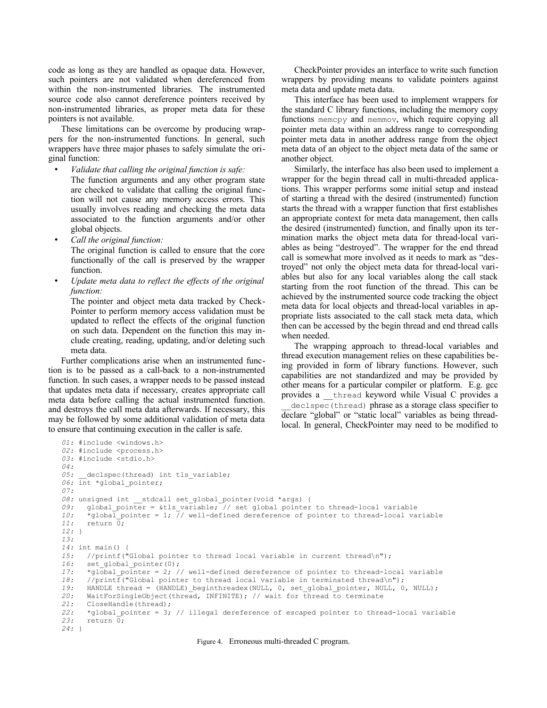code as long as they are handled as opaque data. However, such pointers are not validated when dereferenced from within the non-instrumented libraries. The instrumented source code also cannot dereference pointers received by non-instrumented libraries, as proper meta data for these pointers is not available.

These limitations can be overcome by producing wrappers for the non-instrumented functions. In general, such wrappers have three major phases to safely simulate the original function:

• *Validate that calling the original function is safe:* The function arguments and any other program state are checked to validate that calling the original function will not cause any memory access errors. This usually involves reading and checking the meta data associated to the function arguments and/or other global objects.

• *Call the original function:*

The original function is called to ensure that the core functionally of the call is preserved by the wrapper function.

• *Update meta data to reflect the effects of the original function:*

The pointer and object meta data tracked by Check-Pointer to perform memory access validation must be updated to reflect the effects of the original function on such data. Dependent on the function this may include creating, reading, updating, and/or deleting such meta data.

Further complications arise when an instrumented function is to be passed as a call-back to a non-instrumented function. In such cases, a wrapper needs to be passed instead that updates meta data if necessary, creates appropriate call meta data before calling the actual instrumented function. and destroys the call meta data afterwards. If necessary, this may be followed by some additional validation of meta data to ensure that continuing execution in the caller is safe.

CheckPointer provides an interface to write such function wrappers by providing means to validate pointers against meta data and update meta data.

This interface has been used to implement wrappers for the standard C library functions, including the memory copy functions memcpy and memmov, which require copying all pointer meta data within an address range to corresponding pointer meta data in another address range from the object meta data of an object to the object meta data of the same or another object.

Similarly, the interface has also been used to implement a wrapper for the begin thread call in multi-threaded applications. This wrapper performs some initial setup and instead of starting a thread with the desired (instrumented) function starts the thread with a wrapper function that first establishes an appropriate context for meta data management, then calls the desired (instrumented) function, and finally upon its termination marks the object meta data for thread-local variables as being "destroyed". The wrapper for the end thread call is somewhat more involved as it needs to mark as "destroyed" not only the object meta data for thread-local variables but also for any local variables along the call stack starting from the root function of the thread. This can be achieved by the instrumented source code tracking the object meta data for local objects and thread-local variables in appropriate lists associated to the call stack meta data, which then can be accessed by the begin thread and end thread calls when needed.

The wrapping approach to thread-local variables and thread execution management relies on these capabilities being provided in form of library functions. However, such capabilities are not standardized and may be provided by other means for a particular compiler or platform. E.g. gcc provides a \_\_thread keyword while Visual C provides a declspec (thread) phrase as a storage class specifier to declare "global" or "static local" variables as being threadlocal. In general, CheckPointer may need to be modified to

```
01: #include <windows.h>
02: #include <process.h>
03: #include <stdio.h>
04:
       declspec(thread) int tls variable;
06: int *global pointer;
07:
08: unsigned int stdcall set global pointer(void *args) {
09: global_pointer = &tls_variable; // set global pointer to thread-local variable<br>10: *global_pointer = 1: // well-defined dereference of pointer to thread-local va
        *global<sup>1</sup> pointer = 1; 7/ well-defined dereference of pointer to thread-local variable
11: return 0;
12: }
13:
14: int main() {
15: //printf("Global pointer to thread local variable in current thread\n");<br>16: set qlobal pointer(0);
16: set_global_pointer(0);<br>17: *qlobal pointer = 2; /
17: *global_pointer = 2; // well-defined dereference of pointer to thread-local variable<br>18: //printf("Global_pointer_to_thread_local_variable_in_terminated_thread\n");
18: //printf("Global pointer to thread local variable in terminated thread\n");<br>19: HANDLE thread = (HANDLE) beginthreadex(NULL, 0, set global pointer, NULL, 0
        HANDLE thread = (HANDLE) beginthreadex(NULL, 0, set global pointer, NULL, 0, NULL);
20: WaitForSingleObject(thread, INFINITE); // wait for thread to terminate 21: CloseHandle(thread);
        21: CloseHandle(thread);
22: *global_pointer = 3; // illegal dereference of escaped pointer to thread-local variable
23: return 0;
24: }
```
Figure 4. Erroneous multi-threaded C program.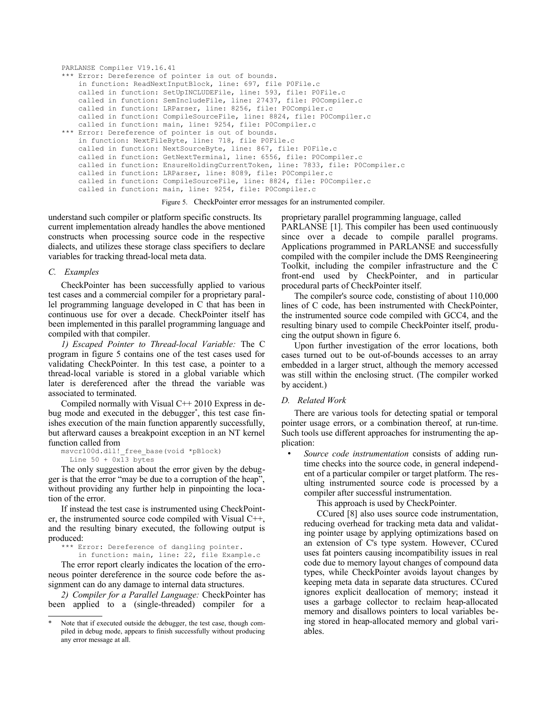```
PARLANSE Compiler V19.16.41
*** Error: Dereference of pointer is out of bounds.
     in function: ReadNextInputBlock, line: 697, file P0File.c
     called in function: SetUpINCLUDEFile, line: 593, file: P0File.c
     called in function: SemIncludeFile, line: 27437, file: P0Compiler.c
     called in function: LRParser, line: 8256, file: P0Compiler.c
    called in function: CompileSourceFile, line: 8824, file: P0Compiler.c
    called in function: main, line: 9254, file: P0Compiler.c
*** Error: Dereference of pointer is out of bounds.
     in function: NextFileByte, line: 718, file P0File.c
     called in function: NextSourceByte, line: 867, file: P0File.c
     called in function: GetNextTerminal, line: 6556, file: P0Compiler.c
     called in function: EnsureHoldingCurrentToken, line: 7833, file: P0Compiler.c
     called in function: LRParser, line: 8089, file: P0Compiler.c
     called in function: CompileSourceFile, line: 8824, file: P0Compiler.c
     called in function: main, line: 9254, file: P0Compiler.c
```
Figure 5. CheckPointer error messages for an instrumented compiler.

understand such compiler or platform specific constructs. Its current implementation already handles the above mentioned constructs when processing source code in the respective dialects, and utilizes these storage class specifiers to declare variables for tracking thread-local meta data.

### *C. Examples*

CheckPointer has been successfully applied to various test cases and a commercial compiler for a proprietary parallel programming language developed in C that has been in continuous use for over a decade. CheckPointer itself has been implemented in this parallel programming language and compiled with that compiler.

*1) Escaped Pointer to Thread-local Variable:* The C program in figure 5 contains one of the test cases used for validating CheckPointer. In this test case, a pointer to a thread-local variable is stored in a global variable which later is dereferenced after the thread the variable was associated to terminated.

Compiled normally with Visual C++ 2010 Express in debug mode and executed in the debugger[\\*](#page-5-0) , this test case finishes execution of the main function apparently successfully, but afterward causes a breakpoint exception in an NT kernel function called from

msvcr100d.dll!\_free\_base(void \*pBlock) Line 50 + 0x13 bytes

The only suggestion about the error given by the debugger is that the error "may be due to a corruption of the heap", without providing any further help in pinpointing the location of the error.

If instead the test case is instrumented using CheckPointer, the instrumented source code compiled with Visual C++, and the resulting binary executed, the following output is produced:

\*\*\* Error: Dereference of dangling pointer. in function: main, line: 22, file Example.c

The error report clearly indicates the location of the erroneous pointer dereference in the source code before the assignment can do any damage to internal data structures.

*2) Compiler for a Parallel Language:* CheckPointer has been applied to a (single-threaded) compiler for a proprietary parallel programming language, called

PARLANSE [\[1\].](#page-7-2) This compiler has been used continuously since over a decade to compile parallel programs. Applications programmed in PARLANSE and successfully compiled with the compiler include the DMS Reengineering Toolkit, including the compiler infrastructure and the C front-end used by CheckPointer, and in particular procedural parts of CheckPointer itself.

The compiler's source code, constisting of about 110,000 lines of C code, has been instrumented with CheckPointer, the instrumented source code compiled with GCC4, and the resulting binary used to compile CheckPointer itself, producing the output shown in figure 6.

Upon further investigation of the error locations, both cases turned out to be out-of-bounds accesses to an array embedded in a larger struct, although the memory accessed was still within the enclosing struct. (The compiler worked by accident.)

# *D. Related Work*

There are various tools for detecting spatial or temporal pointer usage errors, or a combination thereof, at run-time. Such tools use different approaches for instrumenting the application:

• *Source code instrumentation* consists of adding runtime checks into the source code, in general independent of a particular compiler or target platform. The resulting instrumented source code is processed by a compiler after successful instrumentation.

This approach is used by CheckPointer.

CCured [\[8\]](#page-7-1) also uses source code instrumentation, reducing overhead for tracking meta data and validating pointer usage by applying optimizations based on an extension of C's type system. However, CCured uses fat pointers causing incompatibility issues in real code due to memory layout changes of compound data types, while CheckPointer avoids layout changes by keeping meta data in separate data structures. CCured ignores explicit deallocation of memory; instead it uses a garbage collector to reclaim heap-allocated memory and disallows pointers to local variables being stored in heap-allocated memory and global variables.

<span id="page-5-0"></span>Note that if executed outside the debugger, the test case, though compiled in debug mode, appears to finish successfully without producing any error message at all.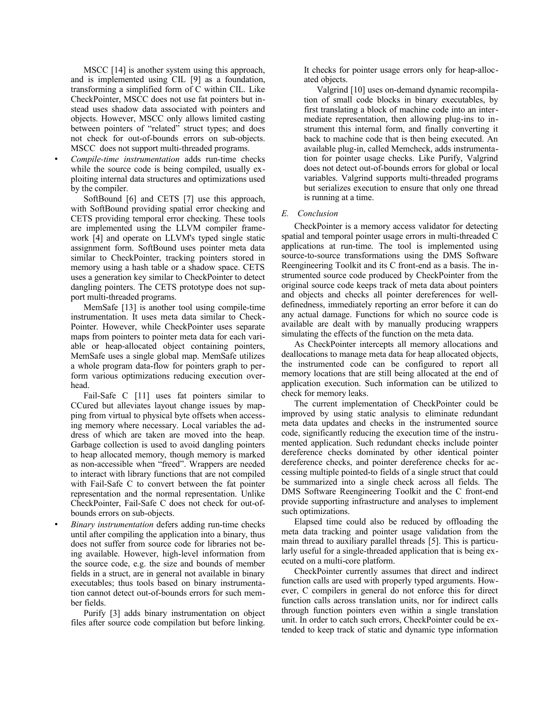MSCC [\[14\]](#page-7-12) is another system using this approach, and is implemented using CIL [\[9\]](#page-7-11) as a foundation, transforming a simplified form of C within CIL. Like CheckPointer, MSCC does not use fat pointers but instead uses shadow data associated with pointers and objects. However, MSCC only allows limited casting between pointers of "related" struct types; and does not check for out-of-bounds errors on sub-objects. MSCC does not support multi-threaded programs.

• *Compile-time instrumentation* adds run-time checks while the source code is being compiled, usually exploiting internal data structures and optimizations used by the compiler.

SoftBound [\[6\]](#page-7-10) and CETS [\[7\]](#page-7-9) use this approach, with SoftBound providing spatial error checking and CETS providing temporal error checking. These tools are implemented using the LLVM compiler framework [\[4\]](#page-7-8) and operate on LLVM's typed single static assignment form. SoftBound uses pointer meta data similar to CheckPointer, tracking pointers stored in memory using a hash table or a shadow space. CETS uses a generation key similar to CheckPointer to detect dangling pointers. The CETS prototype does not support multi-threaded programs.

MemSafe [\[13\]](#page-7-7) is another tool using compile-time instrumentation. It uses meta data similar to Check-Pointer. However, while CheckPointer uses separate maps from pointers to pointer meta data for each variable or heap-allocated object containing pointers, MemSafe uses a single global map. MemSafe utilizes a whole program data-flow for pointers graph to perform various optimizations reducing execution overhead.

Fail-Safe C [\[11\]](#page-7-6) uses fat pointers similar to CCured but alleviates layout change issues by mapping from virtual to physical byte offsets when accessing memory where necessary. Local variables the address of which are taken are moved into the heap. Garbage collection is used to avoid dangling pointers to heap allocated memory, though memory is marked as non-accessible when "freed". Wrappers are needed to interact with library functions that are not compiled with Fail-Safe C to convert between the fat pointer representation and the normal representation. Unlike CheckPointer, Fail-Safe C does not check for out-ofbounds errors on sub-objects.

• *Binary instrumentation* defers adding run-time checks until after compiling the application into a binary, thus does not suffer from source code for libraries not being available. However, high-level information from the source code, e.g. the size and bounds of member fields in a struct, are in general not available in binary executables; thus tools based on binary instrumentation cannot detect out-of-bounds errors for such member fields.

Purify [\[3\]](#page-7-5) adds binary instrumentation on object files after source code compilation but before linking.

It checks for pointer usage errors only for heap-allocated objects.

Valgrind [\[10\]](#page-7-4) uses on-demand dynamic recompilation of small code blocks in binary executables, by first translating a block of machine code into an intermediate representation, then allowing plug-ins to instrument this internal form, and finally converting it back to machine code that is then being executed. An available plug-in, called Memcheck, adds instrumentation for pointer usage checks. Like Purify, Valgrind does not detect out-of-bounds errors for global or local variables. Valgrind supports multi-threaded programs but serializes execution to ensure that only one thread is running at a time.

# *E. Conclusion*

CheckPointer is a memory access validator for detecting spatial and temporal pointer usage errors in multi-threaded C applications at run-time. The tool is implemented using source-to-source transformations using the DMS Software Reengineering Toolkit and its C front-end as a basis. The instrumented source code produced by CheckPointer from the original source code keeps track of meta data about pointers and objects and checks all pointer dereferences for welldefinedness, immediately reporting an error before it can do any actual damage. Functions for which no source code is available are dealt with by manually producing wrappers simulating the effects of the function on the meta data.

As CheckPointer intercepts all memory allocations and deallocations to manage meta data for heap allocated objects, the instrumented code can be configured to report all memory locations that are still being allocated at the end of application execution. Such information can be utilized to check for memory leaks.

The current implementation of CheckPointer could be improved by using static analysis to eliminate redundant meta data updates and checks in the instrumented source code, significantly reducing the execution time of the instrumented application. Such redundant checks include pointer dereference checks dominated by other identical pointer dereference checks, and pointer dereference checks for accessing multiple pointed-to fields of a single struct that could be summarized into a single check across all fields. The DMS Software Reengineering Toolkit and the C front-end provide supporting infrastructure and analyses to implement such optimizations.

Elapsed time could also be reduced by offloading the meta data tracking and pointer usage validation from the main thread to auxiliary parallel threads [\[5\].](#page-7-3) This is particularly useful for a single-threaded application that is being executed on a multi-core platform.

CheckPointer currently assumes that direct and indirect function calls are used with properly typed arguments. However, C compilers in general do not enforce this for direct function calls across translation units, nor for indirect calls through function pointers even within a single translation unit. In order to catch such errors, CheckPointer could be extended to keep track of static and dynamic type information